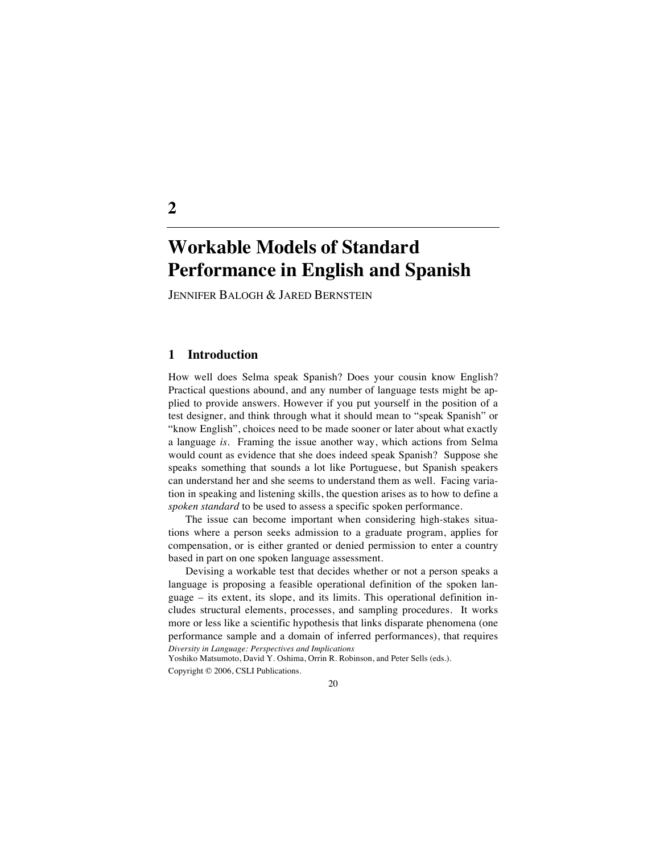# **Workable Models of Standard Performance in English and Spanish**

JENNIFER BALOGH & JARED BERNSTEIN

# **1 Introduction**

**2**

How well does Selma speak Spanish? Does your cousin know English? Practical questions abound, and any number of language tests might be applied to provide answers. However if you put yourself in the position of a test designer, and think through what it should mean to "speak Spanish" or "know English", choices need to be made sooner or later about what exactly a language *is.* Framing the issue another way, which actions from Selma would count as evidence that she does indeed speak Spanish? Suppose she speaks something that sounds a lot like Portuguese, but Spanish speakers can understand her and she seems to understand them as well. Facing variation in speaking and listening skills, the question arises as to how to define a *spoken standard* to be used to assess a specific spoken performance.

The issue can become important when considering high-stakes situations where a person seeks admission to a graduate program, applies for compensation, or is either granted or denied permission to enter a country based in part on one spoken language assessment.

*Diversity in Language: Perspectives and Implications* Devising a workable test that decides whether or not a person speaks a language is proposing a feasible operational definition of the spoken language – its extent, its slope, and its limits. This operational definition includes structural elements, processes, and sampling procedures. It works more or less like a scientific hypothesis that links disparate phenomena (one performance sample and a domain of inferred performances), that requires

Yoshiko Matsumoto, David Y. Oshima, Orrin R. Robinson, and Peter Sells (eds.).

Copyright © 2006, CSLI Publications.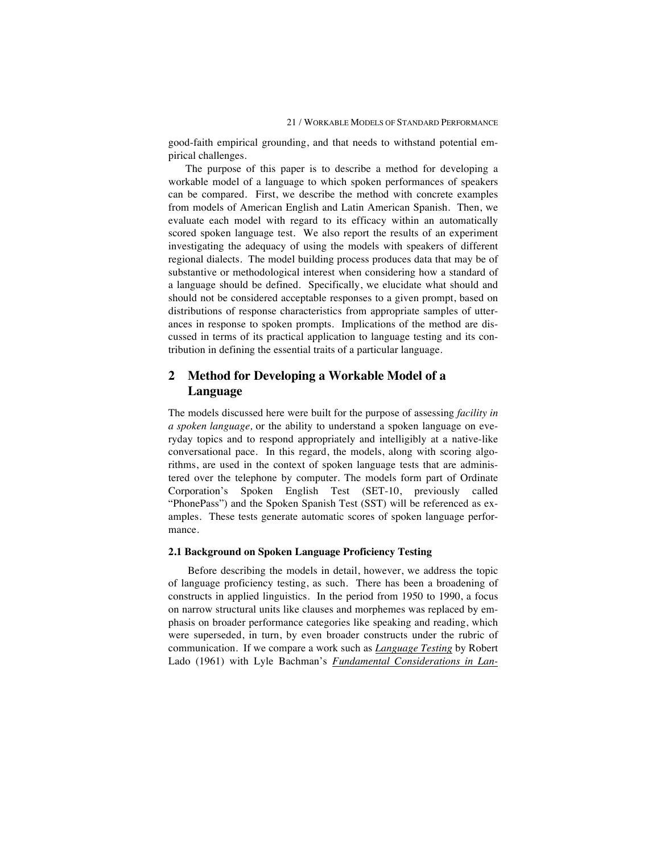good-faith empirical grounding, and that needs to withstand potential empirical challenges.

The purpose of this paper is to describe a method for developing a workable model of a language to which spoken performances of speakers can be compared. First, we describe the method with concrete examples from models of American English and Latin American Spanish. Then, we evaluate each model with regard to its efficacy within an automatically scored spoken language test. We also report the results of an experiment investigating the adequacy of using the models with speakers of different regional dialects. The model building process produces data that may be of substantive or methodological interest when considering how a standard of a language should be defined. Specifically, we elucidate what should and should not be considered acceptable responses to a given prompt, based on distributions of response characteristics from appropriate samples of utterances in response to spoken prompts. Implications of the method are discussed in terms of its practical application to language testing and its contribution in defining the essential traits of a particular language.

# **2 Method for Developing a Workable Model of a Language**

The models discussed here were built for the purpose of assessing *facility in a spoken language,* or the ability to understand a spoken language on everyday topics and to respond appropriately and intelligibly at a native-like conversational pace. In this regard, the models, along with scoring algorithms, are used in the context of spoken language tests that are administered over the telephone by computer. The models form part of Ordinate Corporation's Spoken English Test (SET-10, previously called "PhonePass") and the Spoken Spanish Test (SST) will be referenced as examples. These tests generate automatic scores of spoken language performance.

## **2.1 Background on Spoken Language Proficiency Testing**

Before describing the models in detail, however, we address the topic of language proficiency testing, as such. There has been a broadening of constructs in applied linguistics. In the period from 1950 to 1990, a focus on narrow structural units like clauses and morphemes was replaced by emphasis on broader performance categories like speaking and reading, which were superseded, in turn, by even broader constructs under the rubric of communication. If we compare a work such as *Language Testing* by Robert Lado (1961) with Lyle Bachman's *Fundamental Considerations in Lan-*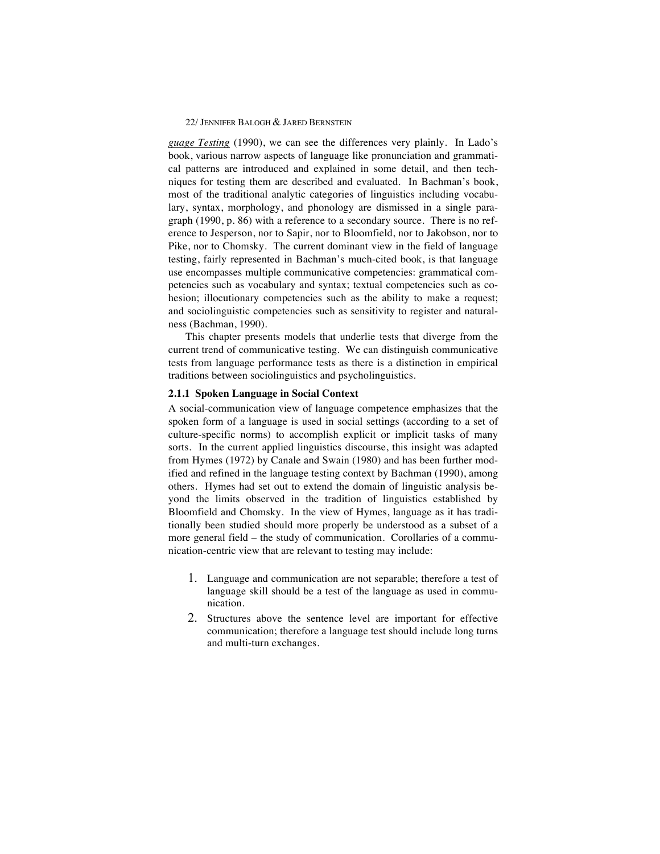*guage Testing* (1990), we can see the differences very plainly. In Lado's book, various narrow aspects of language like pronunciation and grammatical patterns are introduced and explained in some detail, and then techniques for testing them are described and evaluated. In Bachman's book, most of the traditional analytic categories of linguistics including vocabulary, syntax, morphology, and phonology are dismissed in a single paragraph (1990, p. 86) with a reference to a secondary source. There is no reference to Jesperson, nor to Sapir, nor to Bloomfield, nor to Jakobson, nor to Pike, nor to Chomsky. The current dominant view in the field of language testing, fairly represented in Bachman's much-cited book, is that language use encompasses multiple communicative competencies: grammatical competencies such as vocabulary and syntax; textual competencies such as cohesion; illocutionary competencies such as the ability to make a request; and sociolinguistic competencies such as sensitivity to register and naturalness (Bachman, 1990).

This chapter presents models that underlie tests that diverge from the current trend of communicative testing. We can distinguish communicative tests from language performance tests as there is a distinction in empirical traditions between sociolinguistics and psycholinguistics.

## **2.1.1 Spoken Language in Social Context**

A social-communication view of language competence emphasizes that the spoken form of a language is used in social settings (according to a set of culture-specific norms) to accomplish explicit or implicit tasks of many sorts. In the current applied linguistics discourse, this insight was adapted from Hymes (1972) by Canale and Swain (1980) and has been further modified and refined in the language testing context by Bachman (1990), among others. Hymes had set out to extend the domain of linguistic analysis beyond the limits observed in the tradition of linguistics established by Bloomfield and Chomsky. In the view of Hymes, language as it has traditionally been studied should more properly be understood as a subset of a more general field – the study of communication. Corollaries of a communication-centric view that are relevant to testing may include:

- 1. Language and communication are not separable; therefore a test of language skill should be a test of the language as used in communication.
- 2. Structures above the sentence level are important for effective communication; therefore a language test should include long turns and multi-turn exchanges.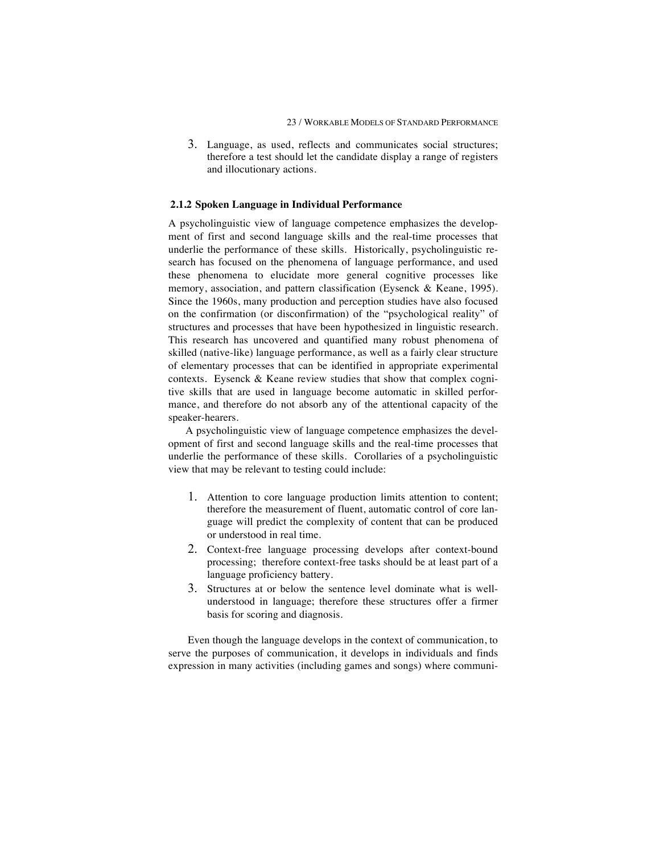3. Language, as used, reflects and communicates social structures; therefore a test should let the candidate display a range of registers and illocutionary actions.

## **2.1.2 Spoken Language in Individual Performance**

A psycholinguistic view of language competence emphasizes the development of first and second language skills and the real-time processes that underlie the performance of these skills. Historically, psycholinguistic research has focused on the phenomena of language performance, and used these phenomena to elucidate more general cognitive processes like memory, association, and pattern classification (Eysenck & Keane, 1995). Since the 1960s, many production and perception studies have also focused on the confirmation (or disconfirmation) of the "psychological reality" of structures and processes that have been hypothesized in linguistic research. This research has uncovered and quantified many robust phenomena of skilled (native-like) language performance, as well as a fairly clear structure of elementary processes that can be identified in appropriate experimental contexts. Eysenck & Keane review studies that show that complex cognitive skills that are used in language become automatic in skilled performance, and therefore do not absorb any of the attentional capacity of the speaker-hearers.

A psycholinguistic view of language competence emphasizes the development of first and second language skills and the real-time processes that underlie the performance of these skills. Corollaries of a psycholinguistic view that may be relevant to testing could include:

- 1. Attention to core language production limits attention to content; therefore the measurement of fluent, automatic control of core language will predict the complexity of content that can be produced or understood in real time.
- 2. Context-free language processing develops after context-bound processing; therefore context-free tasks should be at least part of a language proficiency battery.
- 3. Structures at or below the sentence level dominate what is wellunderstood in language; therefore these structures offer a firmer basis for scoring and diagnosis.

Even though the language develops in the context of communication, to serve the purposes of communication, it develops in individuals and finds expression in many activities (including games and songs) where communi-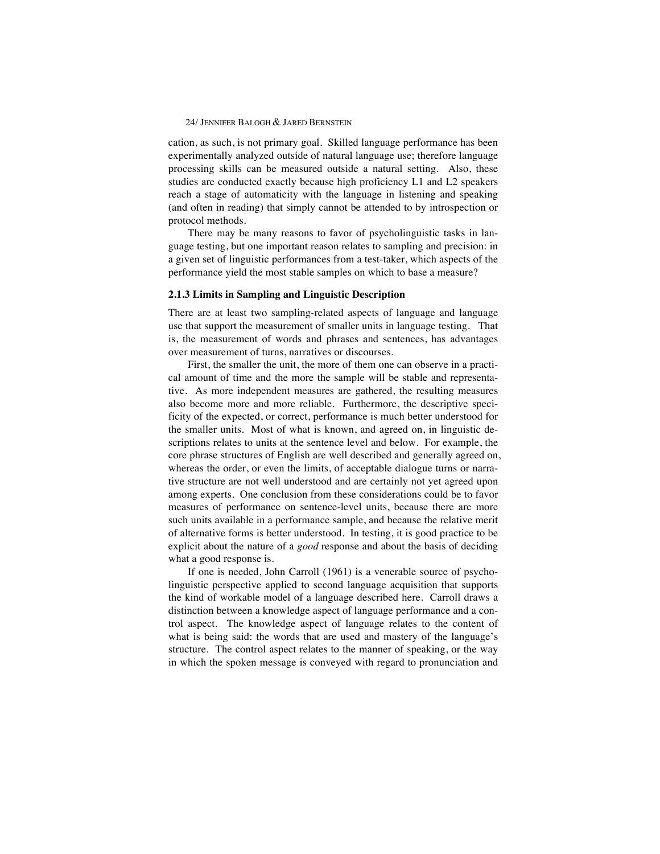cation, as such, is not primary goal. Skilled language performance has been experimentally analyzed outside of natural language use; therefore language processing skills can be measured outside a natural setting. Also, these studies are conducted exactly because high proficiency L1 and L2 speakers reach a stage of automaticity with the language in listening and speaking (and often in reading) that simply cannot be attended to by introspection or protocol methods.

There may be many reasons to favor of psycholinguistic tasks in language testing, but one important reason relates to sampling and precision: in a given set of linguistic performances from a test-taker, which aspects of the performance yield the most stable samples on which to base a measure?

### **2.1.3 Limits in Sampling and Linguistic Description**

There are at least two sampling-related aspects of language and language use that support the measurement of smaller units in language testing. That is, the measurement of words and phrases and sentences, has advantages over measurement of turns, narratives or discourses.

First, the smaller the unit, the more of them one can observe in a practical amount of time and the more the sample will be stable and representative. As more independent measures are gathered, the resulting measures also become more and more reliable. Furthermore, the descriptive specificity of the expected, or correct, performance is much better understood for the smaller units. Most of what is known, and agreed on, in linguistic descriptions relates to units at the sentence level and below. For example, the core phrase structures of English are well described and generally agreed on, whereas the order, or even the limits, of acceptable dialogue turns or narrative structure are not well understood and are certainly not yet agreed upon among experts. One conclusion from these considerations could be to favor measures of performance on sentence-level units, because there are more such units available in a performance sample, and because the relative merit of alternative forms is better understood. In testing, it is good practice to be explicit about the nature of a *good* response and about the basis of deciding what a good response is.

If one is needed, John Carroll (1961) is a venerable source of psycholinguistic perspective applied to second language acquisition that supports the kind of workable model of a language described here. Carroll draws a distinction between a knowledge aspect of language performance and a control aspect. The knowledge aspect of language relates to the content of what is being said: the words that are used and mastery of the language's structure. The control aspect relates to the manner of speaking, or the way in which the spoken message is conveyed with regard to pronunciation and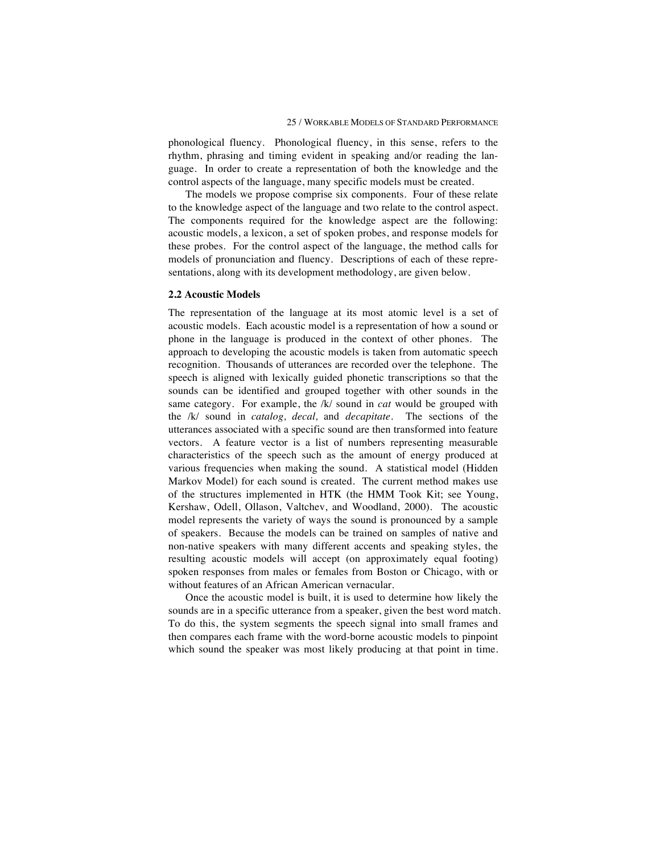phonological fluency. Phonological fluency, in this sense, refers to the rhythm, phrasing and timing evident in speaking and/or reading the language. In order to create a representation of both the knowledge and the control aspects of the language, many specific models must be created.

The models we propose comprise six components. Four of these relate to the knowledge aspect of the language and two relate to the control aspect. The components required for the knowledge aspect are the following: acoustic models, a lexicon, a set of spoken probes, and response models for these probes. For the control aspect of the language, the method calls for models of pronunciation and fluency. Descriptions of each of these representations, along with its development methodology, are given below.

#### **2.2 Acoustic Models**

The representation of the language at its most atomic level is a set of acoustic models. Each acoustic model is a representation of how a sound or phone in the language is produced in the context of other phones. The approach to developing the acoustic models is taken from automatic speech recognition. Thousands of utterances are recorded over the telephone. The speech is aligned with lexically guided phonetic transcriptions so that the sounds can be identified and grouped together with other sounds in the same category. For example, the /k/ sound in *cat* would be grouped with the /k/ sound in *catalog, decal,* and *decapitate.* The sections of the utterances associated with a specific sound are then transformed into feature vectors. A feature vector is a list of numbers representing measurable characteristics of the speech such as the amount of energy produced at various frequencies when making the sound. A statistical model (Hidden Markov Model) for each sound is created. The current method makes use of the structures implemented in HTK (the HMM Took Kit; see Young, Kershaw, Odell, Ollason, Valtchev, and Woodland, 2000). The acoustic model represents the variety of ways the sound is pronounced by a sample of speakers. Because the models can be trained on samples of native and non-native speakers with many different accents and speaking styles, the resulting acoustic models will accept (on approximately equal footing) spoken responses from males or females from Boston or Chicago, with or without features of an African American vernacular.

Once the acoustic model is built, it is used to determine how likely the sounds are in a specific utterance from a speaker, given the best word match. To do this, the system segments the speech signal into small frames and then compares each frame with the word-borne acoustic models to pinpoint which sound the speaker was most likely producing at that point in time.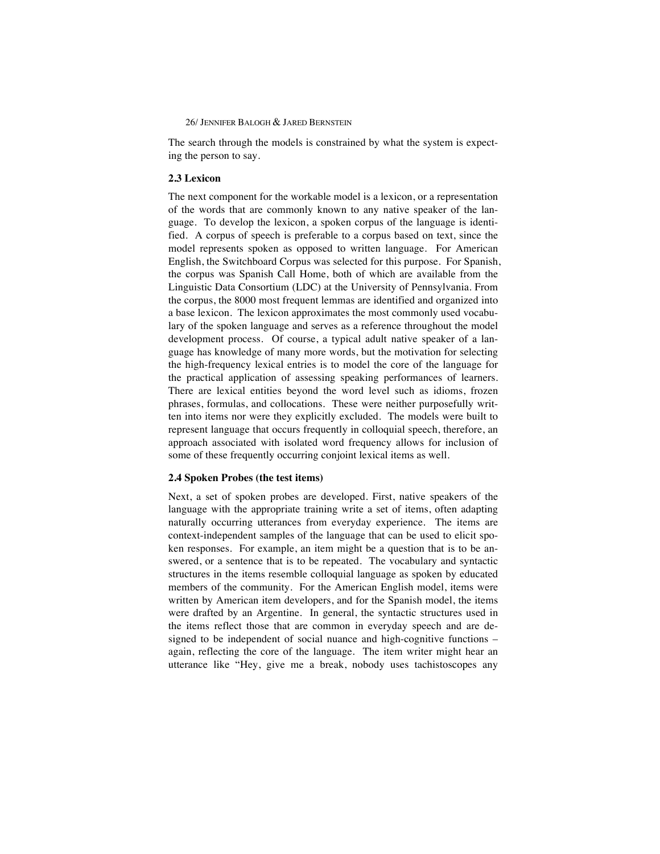The search through the models is constrained by what the system is expecting the person to say.

## **2.3 Lexicon**

The next component for the workable model is a lexicon, or a representation of the words that are commonly known to any native speaker of the language. To develop the lexicon, a spoken corpus of the language is identified. A corpus of speech is preferable to a corpus based on text, since the model represents spoken as opposed to written language. For American English, the Switchboard Corpus was selected for this purpose. For Spanish, the corpus was Spanish Call Home, both of which are available from the Linguistic Data Consortium (LDC) at the University of Pennsylvania. From the corpus, the 8000 most frequent lemmas are identified and organized into a base lexicon. The lexicon approximates the most commonly used vocabulary of the spoken language and serves as a reference throughout the model development process. Of course, a typical adult native speaker of a language has knowledge of many more words, but the motivation for selecting the high-frequency lexical entries is to model the core of the language for the practical application of assessing speaking performances of learners. There are lexical entities beyond the word level such as idioms, frozen phrases, formulas, and collocations. These were neither purposefully written into items nor were they explicitly excluded. The models were built to represent language that occurs frequently in colloquial speech, therefore, an approach associated with isolated word frequency allows for inclusion of some of these frequently occurring conjoint lexical items as well.

#### **2.4 Spoken Probes (the test items)**

Next, a set of spoken probes are developed. First, native speakers of the language with the appropriate training write a set of items, often adapting naturally occurring utterances from everyday experience. The items are context-independent samples of the language that can be used to elicit spoken responses. For example, an item might be a question that is to be answered, or a sentence that is to be repeated. The vocabulary and syntactic structures in the items resemble colloquial language as spoken by educated members of the community. For the American English model, items were written by American item developers, and for the Spanish model, the items were drafted by an Argentine. In general, the syntactic structures used in the items reflect those that are common in everyday speech and are designed to be independent of social nuance and high-cognitive functions – again, reflecting the core of the language. The item writer might hear an utterance like "Hey, give me a break, nobody uses tachistoscopes any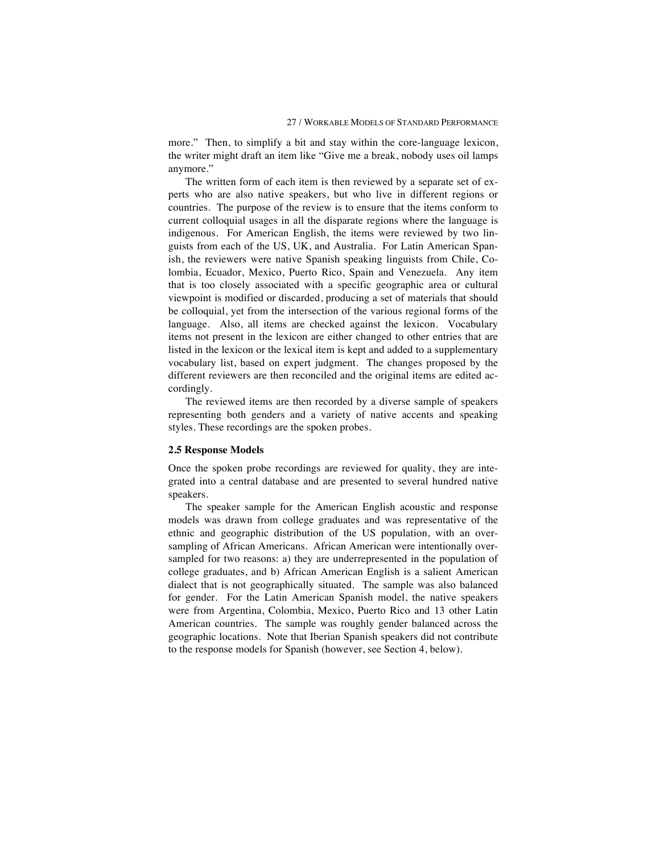more." Then, to simplify a bit and stay within the core-language lexicon, the writer might draft an item like "Give me a break, nobody uses oil lamps anymore."

The written form of each item is then reviewed by a separate set of experts who are also native speakers, but who live in different regions or countries. The purpose of the review is to ensure that the items conform to current colloquial usages in all the disparate regions where the language is indigenous. For American English, the items were reviewed by two linguists from each of the US, UK, and Australia. For Latin American Spanish, the reviewers were native Spanish speaking linguists from Chile, Colombia, Ecuador, Mexico, Puerto Rico, Spain and Venezuela. Any item that is too closely associated with a specific geographic area or cultural viewpoint is modified or discarded, producing a set of materials that should be colloquial, yet from the intersection of the various regional forms of the language. Also, all items are checked against the lexicon. Vocabulary items not present in the lexicon are either changed to other entries that are listed in the lexicon or the lexical item is kept and added to a supplementary vocabulary list, based on expert judgment. The changes proposed by the different reviewers are then reconciled and the original items are edited accordingly.

The reviewed items are then recorded by a diverse sample of speakers representing both genders and a variety of native accents and speaking styles. These recordings are the spoken probes.

#### **2.5 Response Models**

Once the spoken probe recordings are reviewed for quality, they are integrated into a central database and are presented to several hundred native speakers.

The speaker sample for the American English acoustic and response models was drawn from college graduates and was representative of the ethnic and geographic distribution of the US population, with an oversampling of African Americans. African American were intentionally oversampled for two reasons: a) they are underrepresented in the population of college graduates, and b) African American English is a salient American dialect that is not geographically situated. The sample was also balanced for gender. For the Latin American Spanish model, the native speakers were from Argentina, Colombia, Mexico, Puerto Rico and 13 other Latin American countries. The sample was roughly gender balanced across the geographic locations. Note that Iberian Spanish speakers did not contribute to the response models for Spanish (however, see Section 4, below).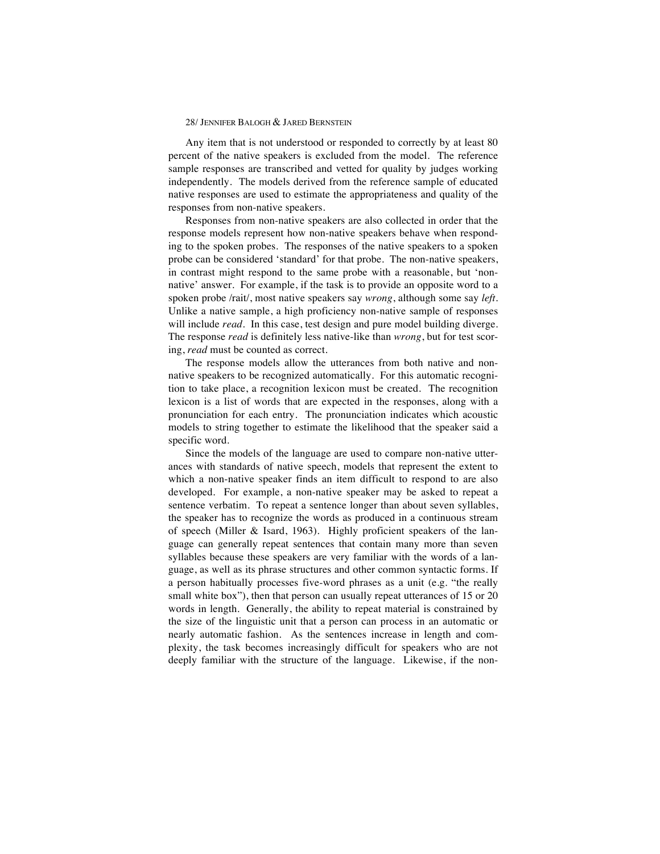Any item that is not understood or responded to correctly by at least 80 percent of the native speakers is excluded from the model. The reference sample responses are transcribed and vetted for quality by judges working independently. The models derived from the reference sample of educated native responses are used to estimate the appropriateness and quality of the responses from non-native speakers.

Responses from non-native speakers are also collected in order that the response models represent how non-native speakers behave when responding to the spoken probes. The responses of the native speakers to a spoken probe can be considered 'standard' for that probe. The non-native speakers, in contrast might respond to the same probe with a reasonable, but 'nonnative' answer. For example, if the task is to provide an opposite word to a spoken probe /rait/, most native speakers say *wrong*, although some say *left.* Unlike a native sample, a high proficiency non-native sample of responses will include *read*. In this case, test design and pure model building diverge. The response *read* is definitely less native-like than *wrong*, but for test scoring, *read* must be counted as correct.

The response models allow the utterances from both native and nonnative speakers to be recognized automatically. For this automatic recognition to take place, a recognition lexicon must be created. The recognition lexicon is a list of words that are expected in the responses, along with a pronunciation for each entry. The pronunciation indicates which acoustic models to string together to estimate the likelihood that the speaker said a specific word.

Since the models of the language are used to compare non-native utterances with standards of native speech, models that represent the extent to which a non-native speaker finds an item difficult to respond to are also developed. For example, a non-native speaker may be asked to repeat a sentence verbatim. To repeat a sentence longer than about seven syllables, the speaker has to recognize the words as produced in a continuous stream of speech (Miller & Isard, 1963). Highly proficient speakers of the language can generally repeat sentences that contain many more than seven syllables because these speakers are very familiar with the words of a language, as well as its phrase structures and other common syntactic forms. If a person habitually processes five-word phrases as a unit (e.g. "the really small white box"), then that person can usually repeat utterances of 15 or 20 words in length. Generally, the ability to repeat material is constrained by the size of the linguistic unit that a person can process in an automatic or nearly automatic fashion. As the sentences increase in length and complexity, the task becomes increasingly difficult for speakers who are not deeply familiar with the structure of the language. Likewise, if the non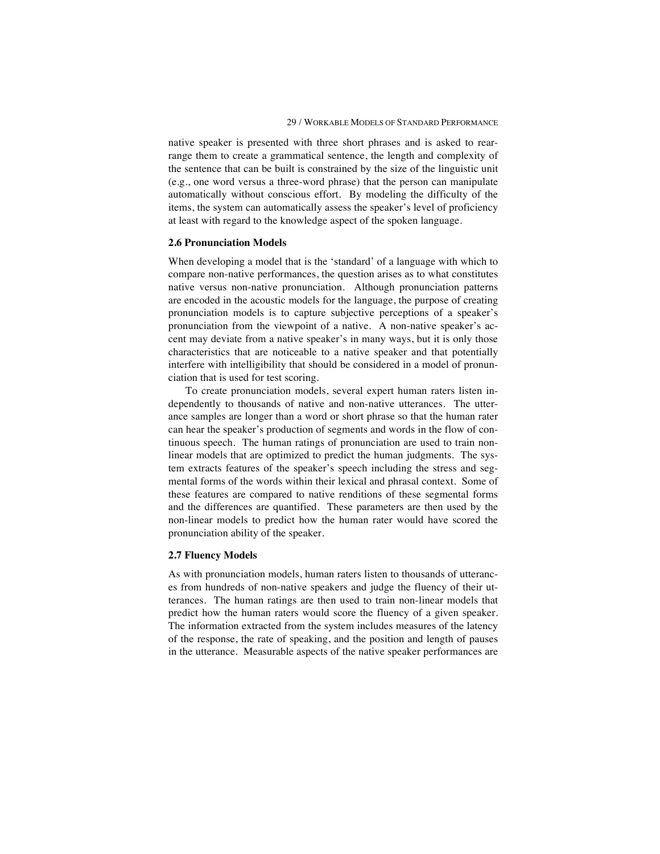native speaker is presented with three short phrases and is asked to rearrange them to create a grammatical sentence, the length and complexity of the sentence that can be built is constrained by the size of the linguistic unit (e.g., one word versus a three-word phrase) that the person can manipulate automatically without conscious effort. By modeling the difficulty of the items, the system can automatically assess the speaker's level of proficiency at least with regard to the knowledge aspect of the spoken language.

#### **2.6 Pronunciation Models**

When developing a model that is the 'standard' of a language with which to compare non-native performances, the question arises as to what constitutes native versus non-native pronunciation. Although pronunciation patterns are encoded in the acoustic models for the language, the purpose of creating pronunciation models is to capture subjective perceptions of a speaker's pronunciation from the viewpoint of a native. A non-native speaker's accent may deviate from a native speaker's in many ways, but it is only those characteristics that are noticeable to a native speaker and that potentially interfere with intelligibility that should be considered in a model of pronunciation that is used for test scoring.

To create pronunciation models, several expert human raters listen independently to thousands of native and non-native utterances. The utterance samples are longer than a word or short phrase so that the human rater can hear the speaker's production of segments and words in the flow of continuous speech. The human ratings of pronunciation are used to train nonlinear models that are optimized to predict the human judgments. The system extracts features of the speaker's speech including the stress and segmental forms of the words within their lexical and phrasal context. Some of these features are compared to native renditions of these segmental forms and the differences are quantified. These parameters are then used by the non-linear models to predict how the human rater would have scored the pronunciation ability of the speaker.

## **2.7 Fluency Models**

As with pronunciation models, human raters listen to thousands of utterances from hundreds of non-native speakers and judge the fluency of their utterances. The human ratings are then used to train non-linear models that predict how the human raters would score the fluency of a given speaker. The information extracted from the system includes measures of the latency of the response, the rate of speaking, and the position and length of pauses in the utterance. Measurable aspects of the native speaker performances are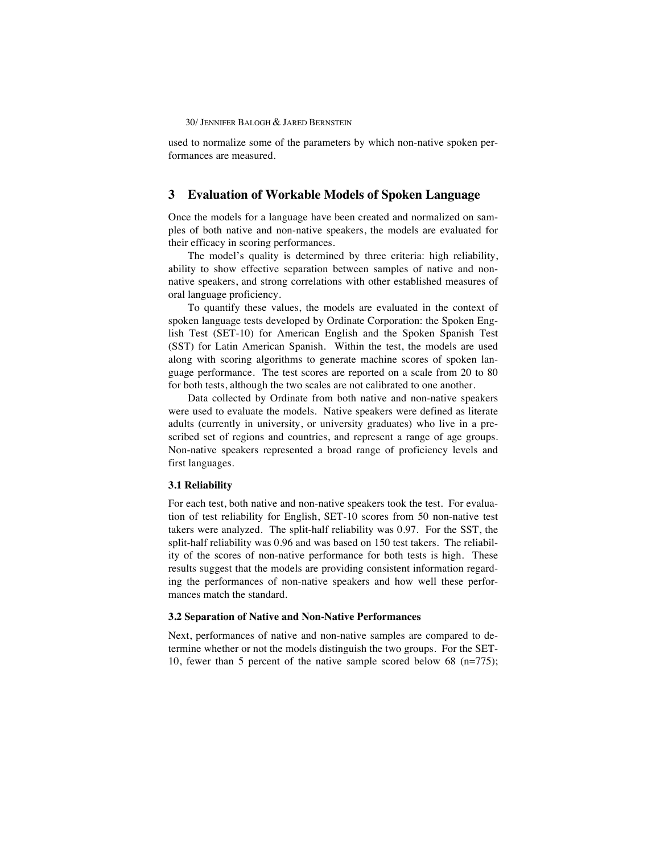used to normalize some of the parameters by which non-native spoken performances are measured.

## **3 Evaluation of Workable Models of Spoken Language**

Once the models for a language have been created and normalized on samples of both native and non-native speakers, the models are evaluated for their efficacy in scoring performances.

The model's quality is determined by three criteria: high reliability, ability to show effective separation between samples of native and nonnative speakers, and strong correlations with other established measures of oral language proficiency.

To quantify these values, the models are evaluated in the context of spoken language tests developed by Ordinate Corporation: the Spoken English Test (SET-10) for American English and the Spoken Spanish Test (SST) for Latin American Spanish. Within the test, the models are used along with scoring algorithms to generate machine scores of spoken language performance. The test scores are reported on a scale from 20 to 80 for both tests, although the two scales are not calibrated to one another.

Data collected by Ordinate from both native and non-native speakers were used to evaluate the models. Native speakers were defined as literate adults (currently in university, or university graduates) who live in a prescribed set of regions and countries, and represent a range of age groups. Non-native speakers represented a broad range of proficiency levels and first languages.

## **3.1 Reliability**

For each test, both native and non-native speakers took the test. For evaluation of test reliability for English, SET-10 scores from 50 non-native test takers were analyzed. The split-half reliability was 0.97. For the SST, the split-half reliability was 0.96 and was based on 150 test takers. The reliability of the scores of non-native performance for both tests is high. These results suggest that the models are providing consistent information regarding the performances of non-native speakers and how well these performances match the standard.

#### **3.2 Separation of Native and Non-Native Performances**

Next, performances of native and non-native samples are compared to determine whether or not the models distinguish the two groups. For the SET-10, fewer than 5 percent of the native sample scored below 68 (n=775);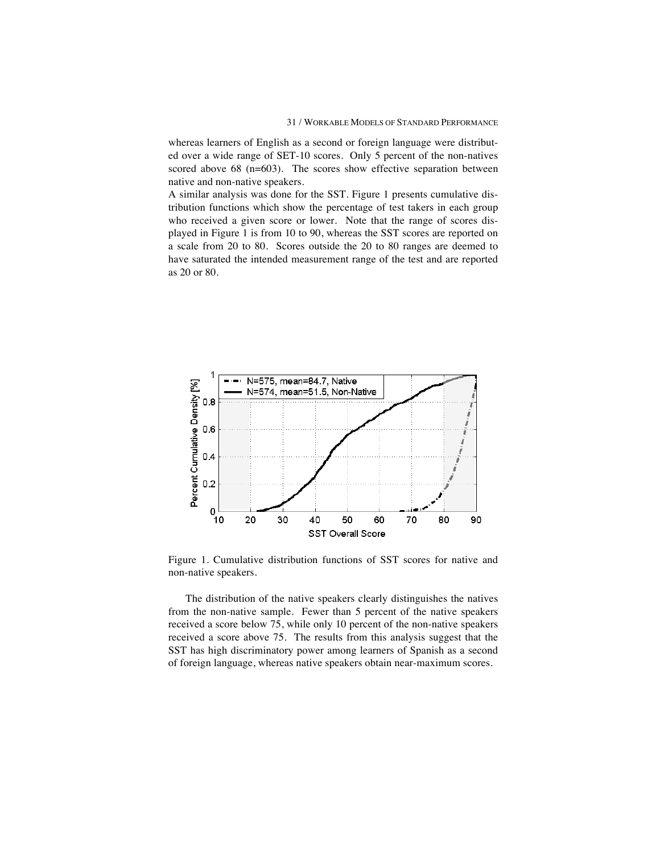whereas learners of English as a second or foreign language were distributed over a wide range of SET-10 scores. Only 5 percent of the non-natives scored above 68 (n=603). The scores show effective separation between native and non-native speakers.

A similar analysis was done for the SST. Figure 1 presents cumulative distribution functions which show the percentage of test takers in each group who received a given score or lower. Note that the range of scores displayed in Figure 1 is from 10 to 90, whereas the SST scores are reported on a scale from 20 to 80. Scores outside the 20 to 80 ranges are deemed to have saturated the intended measurement range of the test and are reported as 20 or 80.



Figure 1. Cumulative distribution functions of SST scores for native and non-native speakers.

The distribution of the native speakers clearly distinguishes the natives from the non-native sample. Fewer than 5 percent of the native speakers received a score below 75, while only 10 percent of the non-native speakers received a score above 75. The results from this analysis suggest that the SST has high discriminatory power among learners of Spanish as a second of foreign language, whereas native speakers obtain near-maximum scores.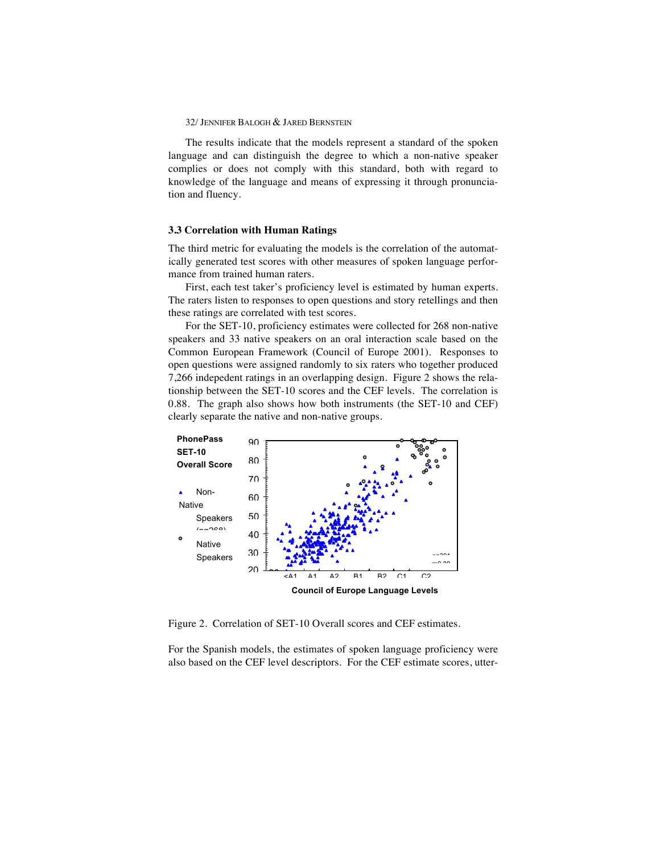The results indicate that the models represent a standard of the spoken language and can distinguish the degree to which a non-native speaker complies or does not comply with this standard, both with regard to knowledge of the language and means of expressing it through pronunciation and fluency.

#### **3.3 Correlation with Human Ratings**

The third metric for evaluating the models is the correlation of the automatically generated test scores with other measures of spoken language performance from trained human raters.

First, each test taker's proficiency level is estimated by human experts. The raters listen to responses to open questions and story retellings and then these ratings are correlated with test scores.

For the SET-10, proficiency estimates were collected for 268 non-native speakers and 33 native speakers on an oral interaction scale based on the Common European Framework (Council of Europe 2001). Responses to open questions were assigned randomly to six raters who together produced 7,266 indepedent ratings in an overlapping design. Figure 2 shows the relationship between the SET-10 scores and the CEF levels. The correlation is 0.88. The graph also shows how both instruments (the SET-10 and CEF) clearly separate the native and non-native groups.



Figure 2. Correlation of SET-10 Overall scores and CEF estimates.

For the Spanish models, the estimates of spoken language proficiency were also based on the CEF level descriptors. For the CEF estimate scores, utter-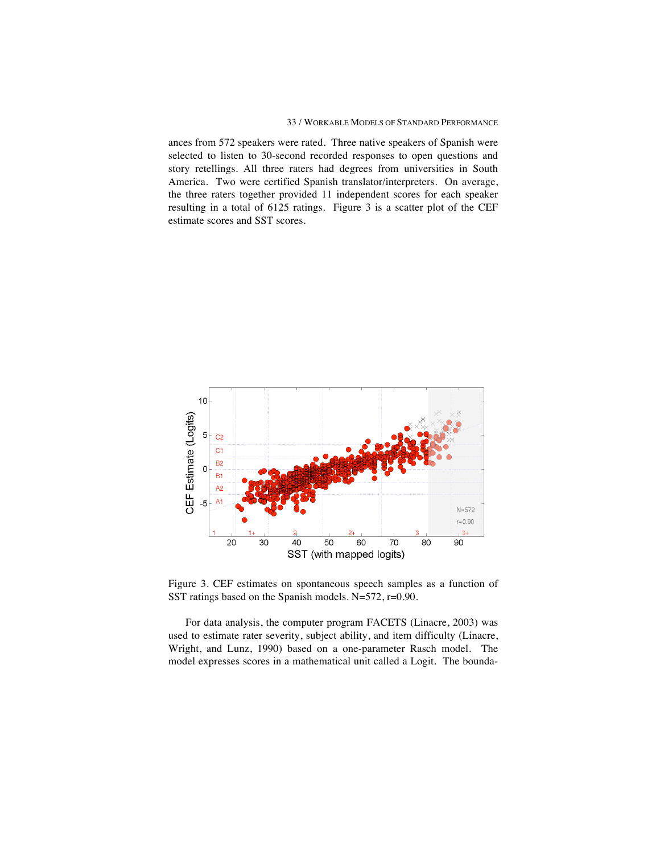#### 33 / WORKABLE MODELS OF STANDARD PERFORMANCE

ances from 572 speakers were rated. Three native speakers of Spanish were selected to listen to 30-second recorded responses to open questions and story retellings. All three raters had degrees from universities in South America. Two were certified Spanish translator/interpreters. On average, the three raters together provided 11 independent scores for each speaker resulting in a total of 6125 ratings. Figure 3 is a scatter plot of the CEF estimate scores and SST scores.



Figure 3. CEF estimates on spontaneous speech samples as a function of SST ratings based on the Spanish models. N=572, r=0.90.

For data analysis, the computer program FACETS (Linacre, 2003) was used to estimate rater severity, subject ability, and item difficulty (Linacre, Wright, and Lunz, 1990) based on a one-parameter Rasch model. The model expresses scores in a mathematical unit called a Logit. The bounda-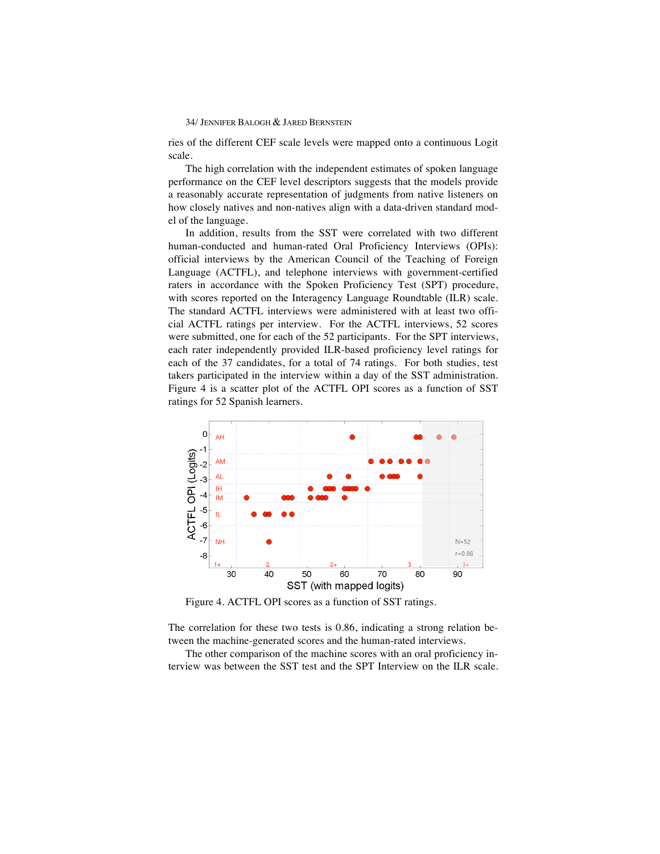ries of the different CEF scale levels were mapped onto a continuous Logit scale.

The high correlation with the independent estimates of spoken language performance on the CEF level descriptors suggests that the models provide a reasonably accurate representation of judgments from native listeners on how closely natives and non-natives align with a data-driven standard model of the language.

In addition, results from the SST were correlated with two different human-conducted and human-rated Oral Proficiency Interviews (OPIs): official interviews by the American Council of the Teaching of Foreign Language (ACTFL), and telephone interviews with government-certified raters in accordance with the Spoken Proficiency Test (SPT) procedure, with scores reported on the Interagency Language Roundtable (ILR) scale. The standard ACTFL interviews were administered with at least two official ACTFL ratings per interview. For the ACTFL interviews, 52 scores were submitted, one for each of the 52 participants. For the SPT interviews, each rater independently provided ILR-based proficiency level ratings for each of the 37 candidates, for a total of 74 ratings. For both studies, test takers participated in the interview within a day of the SST administration. Figure 4 is a scatter plot of the ACTFL OPI scores as a function of SST ratings for 52 Spanish learners.



Figure 4. ACTFL OPI scores as a function of SST ratings.

The correlation for these two tests is 0.86, indicating a strong relation between the machine-generated scores and the human-rated interviews.

The other comparison of the machine scores with an oral proficiency interview was between the SST test and the SPT Interview on the ILR scale.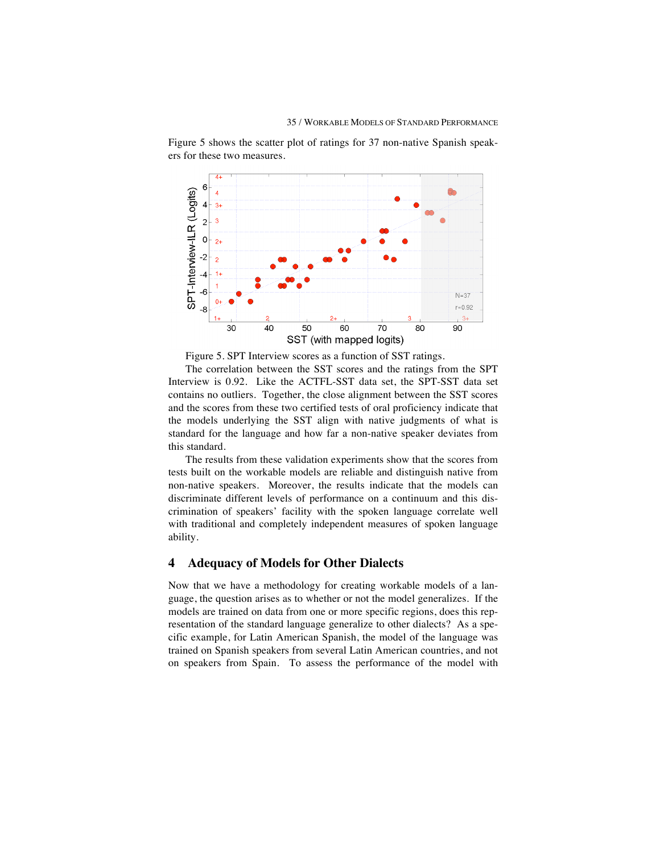

Figure 5 shows the scatter plot of ratings for 37 non-native Spanish speakers for these two measures.

Figure 5. SPT Interview scores as a function of SST ratings.

The correlation between the SST scores and the ratings from the SPT Interview is 0.92. Like the ACTFL-SST data set, the SPT-SST data set contains no outliers. Together, the close alignment between the SST scores and the scores from these two certified tests of oral proficiency indicate that the models underlying the SST align with native judgments of what is standard for the language and how far a non-native speaker deviates from this standard.

The results from these validation experiments show that the scores from tests built on the workable models are reliable and distinguish native from non-native speakers. Moreover, the results indicate that the models can discriminate different levels of performance on a continuum and this discrimination of speakers' facility with the spoken language correlate well with traditional and completely independent measures of spoken language ability.

## **4 Adequacy of Models for Other Dialects**

Now that we have a methodology for creating workable models of a language, the question arises as to whether or not the model generalizes. If the models are trained on data from one or more specific regions, does this representation of the standard language generalize to other dialects? As a specific example, for Latin American Spanish, the model of the language was trained on Spanish speakers from several Latin American countries, and not on speakers from Spain. To assess the performance of the model with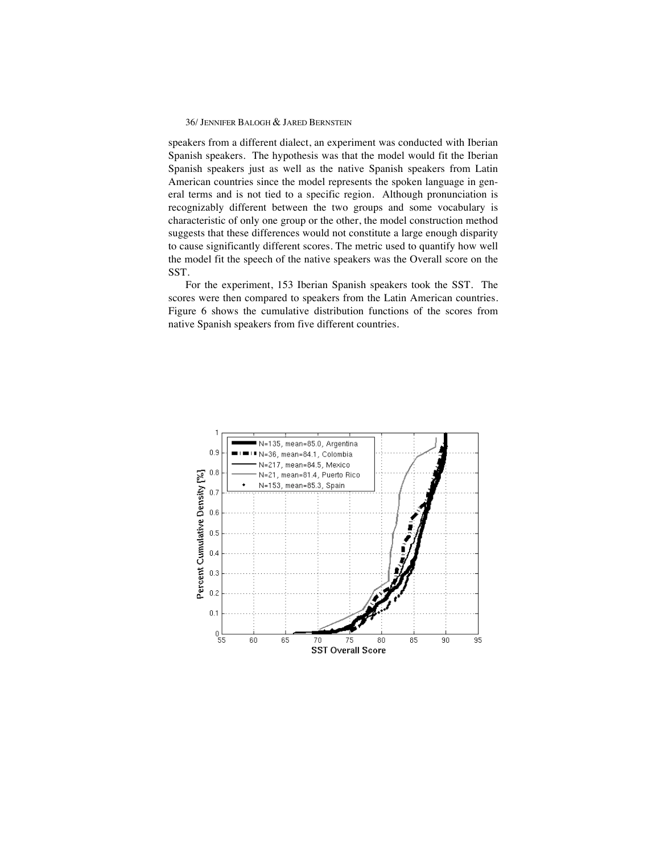speakers from a different dialect, an experiment was conducted with Iberian Spanish speakers. The hypothesis was that the model would fit the Iberian Spanish speakers just as well as the native Spanish speakers from Latin American countries since the model represents the spoken language in general terms and is not tied to a specific region. Although pronunciation is recognizably different between the two groups and some vocabulary is characteristic of only one group or the other, the model construction method suggests that these differences would not constitute a large enough disparity to cause significantly different scores. The metric used to quantify how well the model fit the speech of the native speakers was the Overall score on the SST.

For the experiment, 153 Iberian Spanish speakers took the SST. The scores were then compared to speakers from the Latin American countries. Figure 6 shows the cumulative distribution functions of the scores from native Spanish speakers from five different countries.

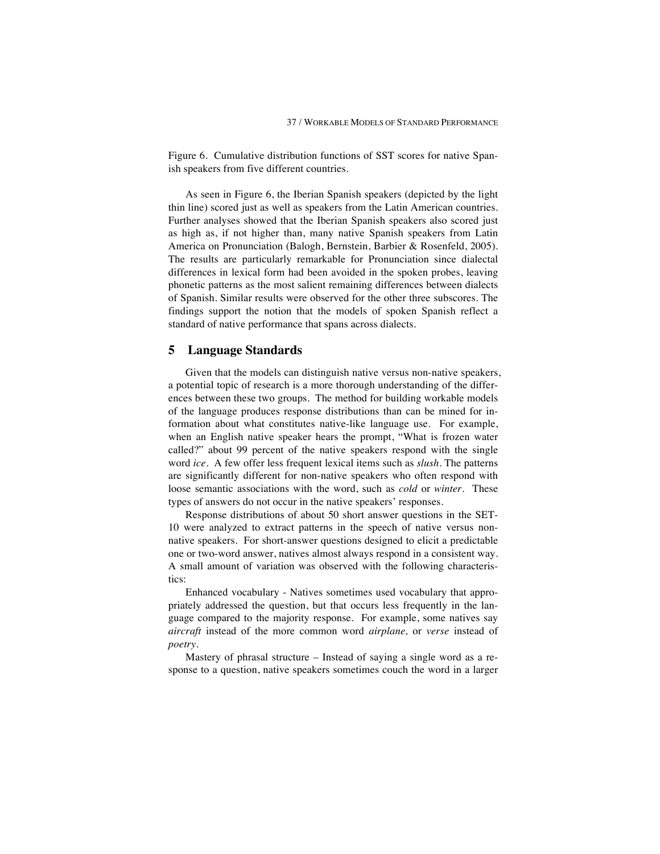Figure 6. Cumulative distribution functions of SST scores for native Spanish speakers from five different countries.

As seen in Figure 6, the Iberian Spanish speakers (depicted by the light thin line) scored just as well as speakers from the Latin American countries. Further analyses showed that the Iberian Spanish speakers also scored just as high as, if not higher than, many native Spanish speakers from Latin America on Pronunciation (Balogh, Bernstein, Barbier & Rosenfeld, 2005). The results are particularly remarkable for Pronunciation since dialectal differences in lexical form had been avoided in the spoken probes, leaving phonetic patterns as the most salient remaining differences between dialects of Spanish. Similar results were observed for the other three subscores. The findings support the notion that the models of spoken Spanish reflect a standard of native performance that spans across dialects.

## **5 Language Standards**

Given that the models can distinguish native versus non-native speakers, a potential topic of research is a more thorough understanding of the differences between these two groups. The method for building workable models of the language produces response distributions than can be mined for information about what constitutes native-like language use. For example, when an English native speaker hears the prompt, "What is frozen water called?" about 99 percent of the native speakers respond with the single word *ice.* A few offer less frequent lexical items such as *slush.* The patterns are significantly different for non-native speakers who often respond with loose semantic associations with the word, such as *cold* or *winter.* These types of answers do not occur in the native speakers' responses.

Response distributions of about 50 short answer questions in the SET-10 were analyzed to extract patterns in the speech of native versus nonnative speakers. For short-answer questions designed to elicit a predictable one or two-word answer, natives almost always respond in a consistent way. A small amount of variation was observed with the following characteristics:

Enhanced vocabulary - Natives sometimes used vocabulary that appropriately addressed the question, but that occurs less frequently in the language compared to the majority response. For example, some natives say *aircraft* instead of the more common word *airplane,* or *verse* instead of *poetry.* 

Mastery of phrasal structure – Instead of saying a single word as a response to a question, native speakers sometimes couch the word in a larger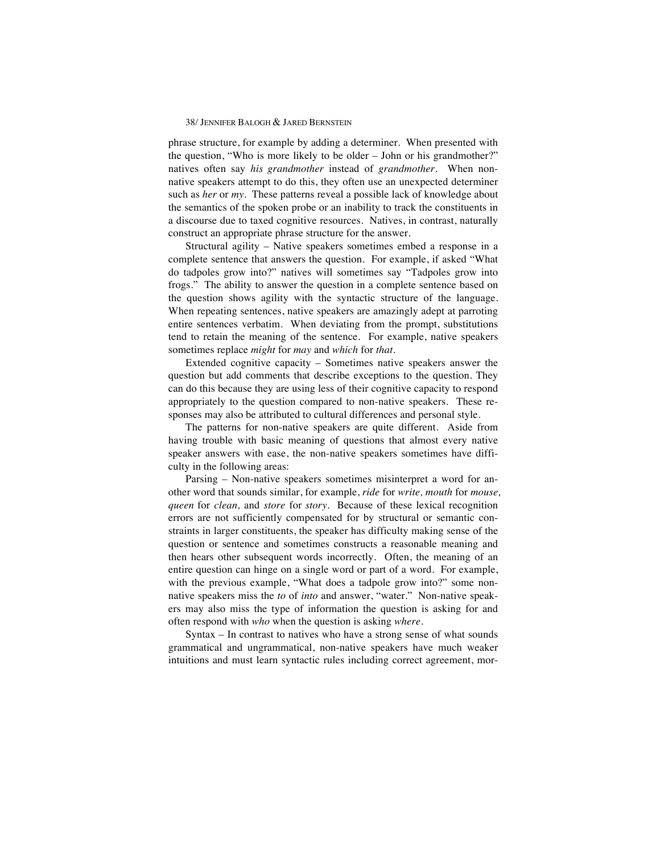phrase structure, for example by adding a determiner. When presented with the question, "Who is more likely to be older – John or his grandmother?" natives often say *his grandmother* instead of *grandmother.* When nonnative speakers attempt to do this, they often use an unexpected determiner such as *her* or *my.* These patterns reveal a possible lack of knowledge about the semantics of the spoken probe or an inability to track the constituents in a discourse due to taxed cognitive resources. Natives, in contrast, naturally construct an appropriate phrase structure for the answer.

Structural agility – Native speakers sometimes embed a response in a complete sentence that answers the question. For example, if asked "What do tadpoles grow into?" natives will sometimes say "Tadpoles grow into frogs." The ability to answer the question in a complete sentence based on the question shows agility with the syntactic structure of the language. When repeating sentences, native speakers are amazingly adept at parroting entire sentences verbatim. When deviating from the prompt, substitutions tend to retain the meaning of the sentence. For example, native speakers sometimes replace *might* for *may* and *which* for *that.*

Extended cognitive capacity – Sometimes native speakers answer the question but add comments that describe exceptions to the question. They can do this because they are using less of their cognitive capacity to respond appropriately to the question compared to non-native speakers. These responses may also be attributed to cultural differences and personal style.

The patterns for non-native speakers are quite different. Aside from having trouble with basic meaning of questions that almost every native speaker answers with ease, the non-native speakers sometimes have difficulty in the following areas:

Parsing – Non-native speakers sometimes misinterpret a word for another word that sounds similar, for example, *ride* for *write, mouth* for *mouse, queen* for *clean,* and *store* for *story.* Because of these lexical recognition errors are not sufficiently compensated for by structural or semantic constraints in larger constituents, the speaker has difficulty making sense of the question or sentence and sometimes constructs a reasonable meaning and then hears other subsequent words incorrectly. Often, the meaning of an entire question can hinge on a single word or part of a word. For example, with the previous example, "What does a tadpole grow into?" some nonnative speakers miss the *to* of *into* and answer, "water*.*" Non-native speakers may also miss the type of information the question is asking for and often respond with *who* when the question is asking *where*.

Syntax – In contrast to natives who have a strong sense of what sounds grammatical and ungrammatical, non-native speakers have much weaker intuitions and must learn syntactic rules including correct agreement, mor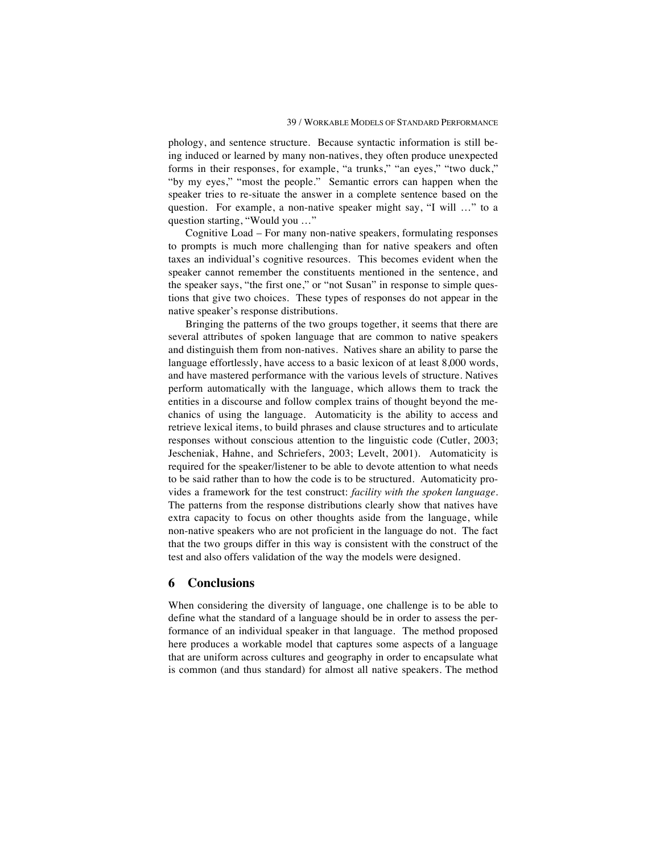phology, and sentence structure. Because syntactic information is still being induced or learned by many non-natives, they often produce unexpected forms in their responses, for example, "a trunks," "an eyes," "two duck," "by my eyes," "most the people." Semantic errors can happen when the speaker tries to re-situate the answer in a complete sentence based on the question. For example, a non-native speaker might say, "I will …" to a question starting, "Would you …"

Cognitive Load – For many non-native speakers, formulating responses to prompts is much more challenging than for native speakers and often taxes an individual's cognitive resources. This becomes evident when the speaker cannot remember the constituents mentioned in the sentence, and the speaker says, "the first one," or "not Susan" in response to simple questions that give two choices. These types of responses do not appear in the native speaker's response distributions.

Bringing the patterns of the two groups together, it seems that there are several attributes of spoken language that are common to native speakers and distinguish them from non-natives. Natives share an ability to parse the language effortlessly, have access to a basic lexicon of at least 8,000 words, and have mastered performance with the various levels of structure. Natives perform automatically with the language, which allows them to track the entities in a discourse and follow complex trains of thought beyond the mechanics of using the language. Automaticity is the ability to access and retrieve lexical items, to build phrases and clause structures and to articulate responses without conscious attention to the linguistic code (Cutler, 2003; Jescheniak, Hahne, and Schriefers, 2003; Levelt, 2001). Automaticity is required for the speaker/listener to be able to devote attention to what needs to be said rather than to how the code is to be structured. Automaticity provides a framework for the test construct: *facility with the spoken language*. The patterns from the response distributions clearly show that natives have extra capacity to focus on other thoughts aside from the language, while non-native speakers who are not proficient in the language do not. The fact that the two groups differ in this way is consistent with the construct of the test and also offers validation of the way the models were designed.

## **6 Conclusions**

When considering the diversity of language, one challenge is to be able to define what the standard of a language should be in order to assess the performance of an individual speaker in that language. The method proposed here produces a workable model that captures some aspects of a language that are uniform across cultures and geography in order to encapsulate what is common (and thus standard) for almost all native speakers. The method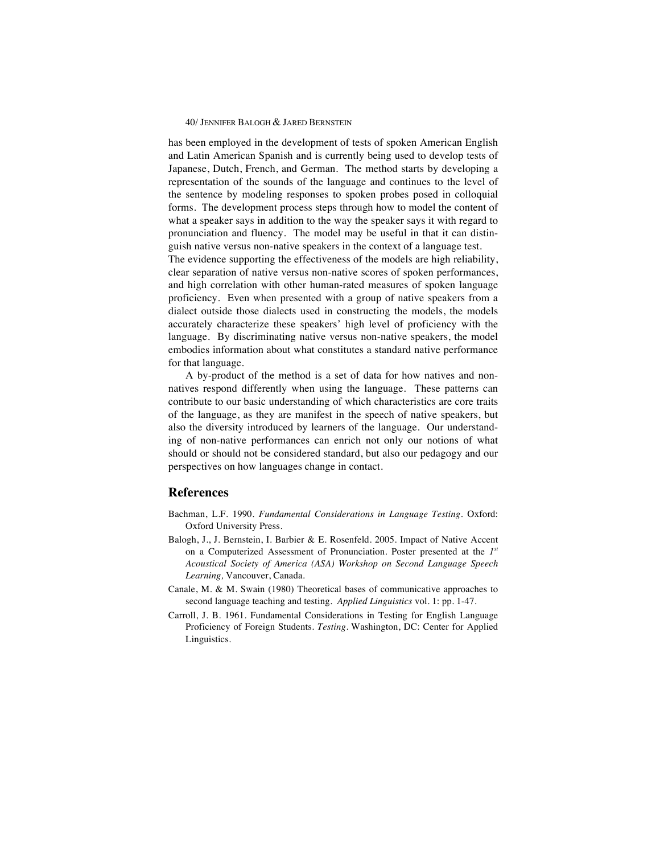has been employed in the development of tests of spoken American English and Latin American Spanish and is currently being used to develop tests of Japanese, Dutch, French, and German. The method starts by developing a representation of the sounds of the language and continues to the level of the sentence by modeling responses to spoken probes posed in colloquial forms. The development process steps through how to model the content of what a speaker says in addition to the way the speaker says it with regard to pronunciation and fluency. The model may be useful in that it can distinguish native versus non-native speakers in the context of a language test.

The evidence supporting the effectiveness of the models are high reliability, clear separation of native versus non-native scores of spoken performances, and high correlation with other human-rated measures of spoken language proficiency. Even when presented with a group of native speakers from a dialect outside those dialects used in constructing the models, the models accurately characterize these speakers' high level of proficiency with the language. By discriminating native versus non-native speakers, the model embodies information about what constitutes a standard native performance for that language.

A by-product of the method is a set of data for how natives and nonnatives respond differently when using the language. These patterns can contribute to our basic understanding of which characteristics are core traits of the language, as they are manifest in the speech of native speakers, but also the diversity introduced by learners of the language. Our understanding of non-native performances can enrich not only our notions of what should or should not be considered standard, but also our pedagogy and our perspectives on how languages change in contact.

## **References**

- Bachman, L.F. 1990. *Fundamental Considerations in Language Testing.* Oxford: Oxford University Press.
- Balogh, J., J. Bernstein, I. Barbier & E. Rosenfeld. 2005. Impact of Native Accent on a Computerized Assessment of Pronunciation. Poster presented at the *1st Acoustical Society of America (ASA) Workshop on Second Language Speech Learning,* Vancouver, Canada.
- Canale, M. & M. Swain (1980) Theoretical bases of communicative approaches to second language teaching and testing. *Applied Linguistics* vol. 1: pp. 1-47.
- Carroll, J. B. 1961. Fundamental Considerations in Testing for English Language Proficiency of Foreign Students. *Testing.* Washington, DC: Center for Applied Linguistics.